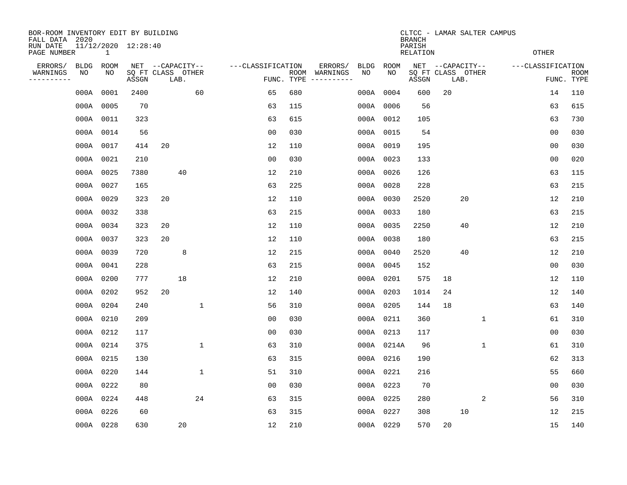| BOR-ROOM INVENTORY EDIT BY BUILDING<br>FALL DATA 2020<br>RUN DATE<br>11/12/2020 12:28:40<br>PAGE NUMBER<br>$\mathbf{1}$ |                   |            |                            |                  |      |              |                   |            |                          |            |            |       | CLTCC - LAMAR SALTER CAMPUS<br><b>RELATION</b> |                                               |  | <b>OTHER</b>      |                           |  |
|-------------------------------------------------------------------------------------------------------------------------|-------------------|------------|----------------------------|------------------|------|--------------|-------------------|------------|--------------------------|------------|------------|-------|------------------------------------------------|-----------------------------------------------|--|-------------------|---------------------------|--|
| ERRORS/<br>WARNINGS<br>---------                                                                                        | <b>BLDG</b><br>NO | ROOM<br>ΝO | SQ FT CLASS OTHER<br>ASSGN | NET --CAPACITY-- | LAB. |              | ---CLASSIFICATION | FUNC. TYPE | ERRORS/<br>ROOM WARNINGS | BLDG<br>NO | ROOM<br>NO | ASSGN |                                                | NET --CAPACITY--<br>SQ FT CLASS OTHER<br>LAB. |  | ---CLASSIFICATION | <b>ROOM</b><br>FUNC. TYPE |  |
|                                                                                                                         | 000A              | 0001       | 2400                       |                  |      | 60           | 65                | 680        |                          | 000A       | 0004       | 600   | 20                                             |                                               |  | 14                | 110                       |  |
|                                                                                                                         | 000A 0005         |            | 70                         |                  |      |              | 63                | 115        |                          |            | 000A 0006  | 56    |                                                |                                               |  | 63                | 615                       |  |
|                                                                                                                         | 000A 0011         |            | 323                        |                  |      |              | 63                | 615        |                          |            | 000A 0012  | 105   |                                                |                                               |  | 63                | 730                       |  |
|                                                                                                                         |                   | 000A 0014  | 56                         |                  |      |              | 0 <sub>0</sub>    | 030        |                          |            | 000A 0015  | 54    |                                                |                                               |  | 0 <sub>0</sub>    | 030                       |  |
|                                                                                                                         | 000A 0017         |            | 414                        | 20               |      |              | 12                | 110        |                          |            | 000A 0019  | 195   |                                                |                                               |  | 00                | 030                       |  |
|                                                                                                                         | 000A 0021         |            | 210                        |                  |      |              | 0 <sub>0</sub>    | 030        |                          |            | 000A 0023  | 133   |                                                |                                               |  | 0 <sub>0</sub>    | 020                       |  |
|                                                                                                                         | 000A 0025         |            | 7380                       |                  | 40   |              | 12                | 210        |                          |            | 000A 0026  | 126   |                                                |                                               |  | 63                | 115                       |  |
|                                                                                                                         | 000A 0027         |            | 165                        |                  |      |              | 63                | 225        |                          |            | 000A 0028  | 228   |                                                |                                               |  | 63                | 215                       |  |
|                                                                                                                         | 000A 0029         |            | 323                        | 20               |      |              | 12                | 110        |                          | 000A       | 0030       | 2520  |                                                | 20                                            |  | 12                | 210                       |  |
|                                                                                                                         | 000A 0032         |            | 338                        |                  |      |              | 63                | 215        |                          |            | 000A 0033  | 180   |                                                |                                               |  | 63                | 215                       |  |
|                                                                                                                         |                   | 000A 0034  | 323                        | 20               |      |              | 12                | 110        |                          | 000A       | 0035       | 2250  |                                                | 40                                            |  | 12                | 210                       |  |
|                                                                                                                         | 000A 0037         |            | 323                        | 20               |      |              | 12                | 110        |                          |            | 000A 0038  | 180   |                                                |                                               |  | 63                | 215                       |  |
|                                                                                                                         | 000A 0039         |            | 720                        |                  | 8    |              | 12                | 215        |                          | 000A       | 0040       | 2520  |                                                | 40                                            |  | 12                | 210                       |  |
|                                                                                                                         | 000A 0041         |            | 228                        |                  |      |              | 63                | 215        |                          |            | 000A 0045  | 152   |                                                |                                               |  | 0 <sub>0</sub>    | 030                       |  |
|                                                                                                                         | 000A 0200         |            | 777                        |                  | 18   |              | 12                | 210        |                          |            | 000A 0201  | 575   | 18                                             |                                               |  | 12                | 110                       |  |
|                                                                                                                         | 000A 0202         |            | 952                        | 20               |      |              | 12                | 140        |                          |            | 000A 0203  | 1014  | 24                                             |                                               |  | 12                | 140                       |  |
|                                                                                                                         | 000A 0204         |            | 240                        |                  |      | $\mathbf{1}$ | 56                | 310        |                          |            | 000A 0205  | 144   | 18                                             |                                               |  | 63                | 140                       |  |
|                                                                                                                         | 000A 0210         |            | 209                        |                  |      |              | 0 <sub>0</sub>    | 030        |                          |            | 000A 0211  | 360   |                                                | 1                                             |  | 61                | 310                       |  |
|                                                                                                                         | 000A 0212         |            | 117                        |                  |      |              | 0 <sub>0</sub>    | 030        |                          |            | 000A 0213  | 117   |                                                |                                               |  | 0 <sub>0</sub>    | 030                       |  |
|                                                                                                                         | 000A 0214         |            | 375                        |                  |      | $\mathbf 1$  | 63                | 310        |                          |            | 000A 0214A | 96    |                                                | $\mathbf 1$                                   |  | 61                | 310                       |  |
|                                                                                                                         | 000A 0215         |            | 130                        |                  |      |              | 63                | 315        |                          |            | 000A 0216  | 190   |                                                |                                               |  | 62                | 313                       |  |
|                                                                                                                         | 000A 0220         |            | 144                        |                  |      | $\mathbf{1}$ | 51                | 310        |                          |            | 000A 0221  | 216   |                                                |                                               |  | 55                | 660                       |  |
|                                                                                                                         | 000A 0222         |            | 80                         |                  |      |              | 0 <sub>0</sub>    | 030        |                          |            | 000A 0223  | 70    |                                                |                                               |  | 0 <sub>0</sub>    | 030                       |  |
|                                                                                                                         | 000A 0224         |            | 448                        |                  |      | 24           | 63                | 315        |                          |            | 000A 0225  | 280   |                                                | 2                                             |  | 56                | 310                       |  |
|                                                                                                                         | 000A 0226         |            | 60                         |                  |      |              | 63                | 315        |                          |            | 000A 0227  | 308   |                                                | 10                                            |  | 12                | 215                       |  |
|                                                                                                                         | 000A 0228         |            | 630                        |                  | 20   |              | 12                | 210        |                          |            | 000A 0229  | 570   | 20                                             |                                               |  | 15                | 140                       |  |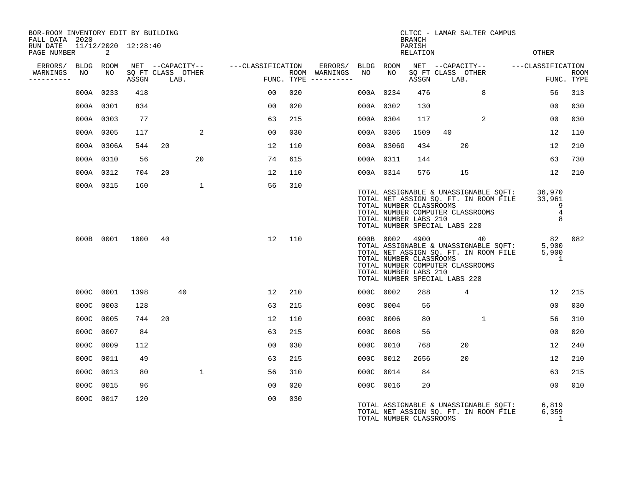| BOR-ROOM INVENTORY EDIT BY BUILDING<br>FALL DATA 2020 |    |                          |      |            |                   |                                     |     |                                      |           |                                                                                   | <b>BRANCH</b>      |      | CLTCC - LAMAR SALTER CAMPUS                               |                                                                                |                                                                                                                                                                                                                                                                                                                                                                                      |                           |
|-------------------------------------------------------|----|--------------------------|------|------------|-------------------|-------------------------------------|-----|--------------------------------------|-----------|-----------------------------------------------------------------------------------|--------------------|------|-----------------------------------------------------------|--------------------------------------------------------------------------------|--------------------------------------------------------------------------------------------------------------------------------------------------------------------------------------------------------------------------------------------------------------------------------------------------------------------------------------------------------------------------------------|---------------------------|
| RUN DATE<br>PAGE NUMBER                               |    | 11/12/2020 12:28:40<br>2 |      |            |                   |                                     |     |                                      |           |                                                                                   | PARISH<br>RELATION |      |                                                           |                                                                                | <b>OTHER</b>                                                                                                                                                                                                                                                                                                                                                                         |                           |
| ERRORS/ BLDG ROOM                                     |    |                          |      |            |                   | NET --CAPACITY-- ----CLASSIFICATION |     | ERRORS/ BLDG ROOM                    |           |                                                                                   |                    |      |                                                           |                                                                                | NET --CAPACITY-- ---CLASSIFICATION                                                                                                                                                                                                                                                                                                                                                   |                           |
| WARNINGS<br>-----------                               | NO | NO                       |      | ASSGN LAB. | SQ FT CLASS OTHER |                                     |     | ROOM WARNINGS<br>FUNC. TYPE $------$ | NO        | NO                                                                                | ASSGN              | LAB. | SQ FT CLASS OTHER                                         |                                                                                |                                                                                                                                                                                                                                                                                                                                                                                      | <b>ROOM</b><br>FUNC. TYPE |
|                                                       |    | 000A 0233                | 418  |            |                   | 0 <sub>0</sub>                      | 020 |                                      | 000A 0234 |                                                                                   | 476                |      | 8                                                         |                                                                                | 56                                                                                                                                                                                                                                                                                                                                                                                   | 313                       |
|                                                       |    | 000A 0301                | 834  |            |                   | 00                                  | 020 |                                      | 000A 0302 |                                                                                   | 130                |      |                                                           |                                                                                | 00                                                                                                                                                                                                                                                                                                                                                                                   | 030                       |
|                                                       |    | 000A 0303                | 77   |            |                   | 63                                  | 215 |                                      | 000A 0304 |                                                                                   | 117                |      | 2                                                         |                                                                                | 00                                                                                                                                                                                                                                                                                                                                                                                   | 030                       |
|                                                       |    | 000A 0305                | 117  |            | 2                 | 0 <sub>0</sub>                      | 030 |                                      | 000A 0306 |                                                                                   | 1509               | 40   |                                                           |                                                                                | 12                                                                                                                                                                                                                                                                                                                                                                                   | 110                       |
|                                                       |    | 000A 0306A               | 544  | 20         |                   | 12                                  | 110 |                                      |           | 000A 0306G                                                                        | 434                |      | 20                                                        |                                                                                | 12                                                                                                                                                                                                                                                                                                                                                                                   | 210                       |
|                                                       |    | 000A 0310                | 56   |            | 20                | 74                                  | 615 |                                      | 000A 0311 |                                                                                   | 144                |      |                                                           |                                                                                | 63                                                                                                                                                                                                                                                                                                                                                                                   | 730                       |
|                                                       |    | 000A 0312                | 704  | 20         |                   | 12                                  | 110 |                                      | 000A 0314 |                                                                                   | 576                |      | 15                                                        |                                                                                | 12                                                                                                                                                                                                                                                                                                                                                                                   | 210                       |
|                                                       |    | 000A 0315                | 160  |            | $\mathbf{1}$      | 56                                  | 310 |                                      |           | TOTAL NUMBER CLASSROOMS<br>TOTAL NUMBER LABS 210<br>TOTAL NUMBER SPECIAL LABS 220 |                    |      | TOTAL NUMBER COMPUTER CLASSROOMS<br>TOTAL NUMBER LABS 210 |                                                                                | TOTAL ASSIGNABLE & UNASSIGNABLE SQFT: 36,970<br>TOTAL NET ASSIGN SQ. FT. IN ROOM FILE 33,961<br>$\sim$ 0.000 $\sim$ 0.000 $\sim$ 0.000 $\sim$ 0.000 $\sim$ 0.000 $\sim$ 0.000 $\sim$ 0.000 $\sim$ 0.000 $\sim$ 0.000 $\sim$ 0.000 $\sim$ 0.000 $\sim$ 0.000 $\sim$ 0.000 $\sim$ 0.000 $\sim$ 0.000 $\sim$ 0.000 $\sim$ 0.000 $\sim$ 0.000 $\sim$ 0.000 $\sim$ 0.000<br>$\frac{4}{8}$ |                           |
|                                                       |    | 000B 0001                | 1000 | 40         |                   | 12                                  | 110 |                                      |           | TOTAL NUMBER CLASSROOMS<br>TOTAL NUMBER LABS 210<br>TOTAL NUMBER SPECIAL LABS 220 |                    |      | 000B 0002 4900 40<br>TOTAL NUMBER COMPUTER CLASSROOMS     | TOTAL ASSIGNABLE & UNASSIGNABLE SQFT:<br>TOTAL NET ASSIGN SQ. FT. IN ROOM FILE | 82 082<br>5,900<br>5,900<br>1                                                                                                                                                                                                                                                                                                                                                        |                           |
|                                                       |    | 000C 0001                | 1398 |            | 40                | 12                                  | 210 |                                      | 000C 0002 |                                                                                   | 288                |      | 4                                                         |                                                                                | 12                                                                                                                                                                                                                                                                                                                                                                                   | 215                       |
|                                                       |    | 000C 0003                | 128  |            |                   | 63                                  | 215 |                                      | 000C 0004 |                                                                                   | 56                 |      |                                                           |                                                                                | 0 <sub>0</sub>                                                                                                                                                                                                                                                                                                                                                                       | 030                       |
|                                                       |    | 000C 0005                | 744  | 20         |                   | 12                                  | 110 |                                      | 000C 0006 |                                                                                   | 80                 |      | 1                                                         |                                                                                | 56                                                                                                                                                                                                                                                                                                                                                                                   | 310                       |
|                                                       |    | 000C 0007                | 84   |            |                   | 63                                  | 215 |                                      | 000C 0008 |                                                                                   | 56                 |      |                                                           |                                                                                | 0 <sub>0</sub>                                                                                                                                                                                                                                                                                                                                                                       | 020                       |
|                                                       |    | 000C 0009                | 112  |            |                   | 00                                  | 030 |                                      | 000C 0010 |                                                                                   | 768                |      | 20                                                        |                                                                                | 12                                                                                                                                                                                                                                                                                                                                                                                   | 240                       |
|                                                       |    | 000C 0011                | 49   |            |                   | 63                                  | 215 |                                      | 000C 0012 |                                                                                   | 2656               |      | 20                                                        |                                                                                | 12                                                                                                                                                                                                                                                                                                                                                                                   | 210                       |
|                                                       |    | 000C 0013                | 80   |            | $\mathbf{1}$      | 56                                  | 310 |                                      | 000C 0014 |                                                                                   | 84                 |      |                                                           |                                                                                | 63                                                                                                                                                                                                                                                                                                                                                                                   | 215                       |
|                                                       |    | 000C 0015                | 96   |            |                   | 00                                  | 020 |                                      | 000C 0016 |                                                                                   | 20                 |      |                                                           |                                                                                | 0 <sub>0</sub>                                                                                                                                                                                                                                                                                                                                                                       | 010                       |
|                                                       |    | 000C 0017                | 120  |            |                   | 0 <sub>0</sub>                      | 030 |                                      |           | TOTAL NUMBER CLASSROOMS                                                           |                    |      |                                                           | TOTAL ASSIGNABLE & UNASSIGNABLE SQFT:<br>TOTAL NET ASSIGN SQ. FT. IN ROOM FILE | 6,819<br>6,359<br>1                                                                                                                                                                                                                                                                                                                                                                  |                           |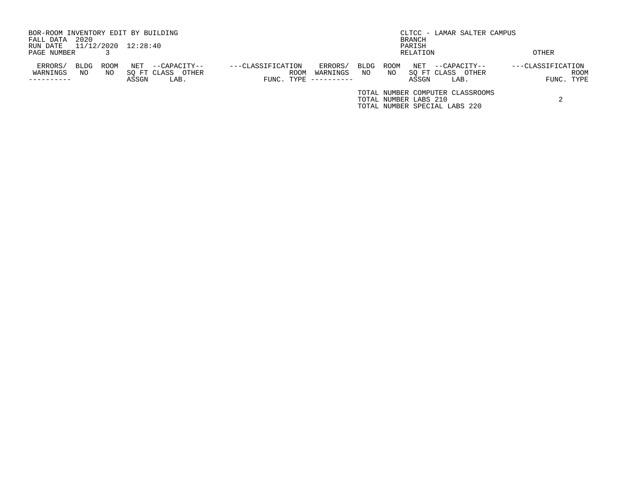| BOR-ROOM INVENTORY EDIT BY BUILDING |      |      |                     |                      |                   |            |            |      |      |                       | CLTCC - LAMAR SALTER CAMPUS      |       |                   |            |
|-------------------------------------|------|------|---------------------|----------------------|-------------------|------------|------------|------|------|-----------------------|----------------------------------|-------|-------------------|------------|
| FALL DATA                           | 2020 |      |                     |                      |                   |            |            |      |      | BRANCH                |                                  |       |                   |            |
| RUN DATE                            |      |      | 11/12/2020 12:28:40 |                      |                   |            |            |      |      | PARISH                |                                  |       |                   |            |
| PAGE NUMBER                         |      |      |                     |                      |                   |            |            |      |      | RELATION              |                                  |       | <b>OTHER</b>      |            |
| ERRORS/                             | BLDG | ROOM | NET                 | --CAPACITY--         | ---CLASSIFICATION |            | ERRORS/    | BLDG | ROOM | NET                   | --CAPACITY--                     |       | ---CLASSIFICATION |            |
| WARNINGS                            | NO   | NO.  |                     | SO FT CLASS<br>OTHER |                   | ROOM       | WARNINGS   | NO   | NO.  |                       | SO FT CLASS                      | OTHER |                   | ROOM       |
|                                     |      |      | ASSGN               | LAB.                 |                   | FUNC. TYPE | ---------- |      |      | ASSGN                 | LAB.                             |       |                   | FUNC. TYPE |
|                                     |      |      |                     |                      |                   |            |            |      |      |                       | TOTAL NUMBER COMPUTER CLASSROOMS |       |                   |            |
|                                     |      |      |                     |                      |                   |            |            |      |      | TOTAL NUMBER LABS 210 |                                  |       |                   |            |
|                                     |      |      |                     |                      |                   |            |            |      |      |                       | TOTAL NUMBER SPECIAL LABS 220    |       |                   |            |